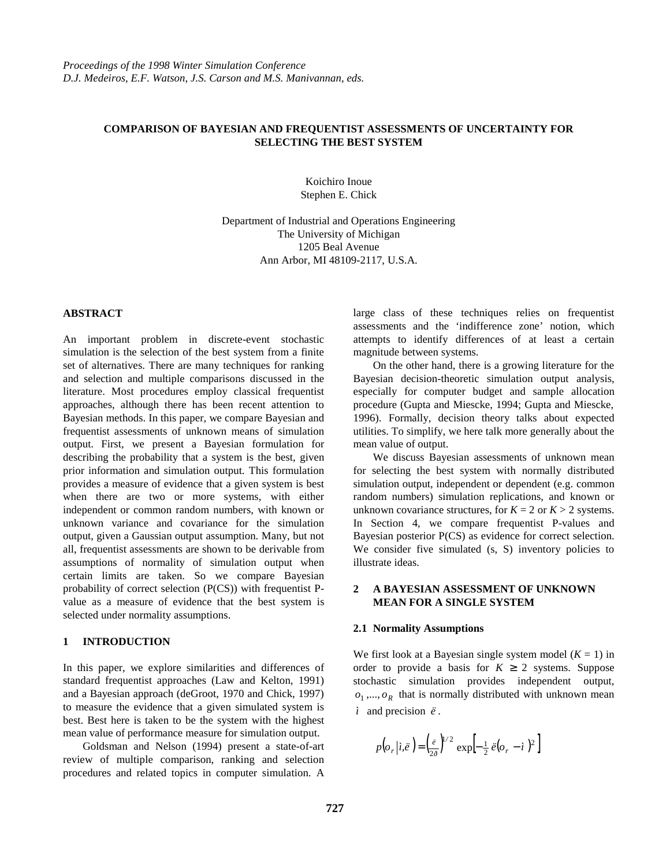## **COMPARISON OF BAYESIAN AND FREQUENTIST ASSESSMENTS OF UNCERTAINTY FOR SELECTING THE BEST SYSTEM**

Koichiro Inoue Stephen E. Chick

Department of Industrial and Operations Engineering The University of Michigan 1205 Beal Avenue Ann Arbor, MI 48109-2117, U.S.A.

# **ABSTRACT**

An important problem in discrete-event stochastic simulation is the selection of the best system from a finite set of alternatives. There are many techniques for ranking and selection and multiple comparisons discussed in the literature. Most procedures employ classical frequentist approaches, although there has been recent attention to Bayesian methods. In this paper, we compare Bayesian and frequentist assessments of unknown means of simulation output. First, we present a Bayesian formulation for describing the probability that a system is the best, given prior information and simulation output. This formulation provides a measure of evidence that a given system is best when there are two or more systems, with either independent or common random numbers, with known or unknown variance and covariance for the simulation output, given a Gaussian output assumption. Many, but not all, frequentist assessments are shown to be derivable from assumptions of normality of simulation output when certain limits are taken. So we compare Bayesian probability of correct selection (P(CS)) with frequentist Pvalue as a measure of evidence that the best system is selected under normality assumptions.

## **1 INTRODUCTION**

In this paper, we explore similarities and differences of standard frequentist approaches (Law and Kelton, 1991) and a Bayesian approach (deGroot, 1970 and Chick, 1997) to measure the evidence that a given simulated system is best. Best here is taken to be the system with the highest mean value of performance measure for simulation output.

Goldsman and Nelson (1994) present a state-of-art review of multiple comparison, ranking and selection procedures and related topics in computer simulation. A

large class of these techniques relies on frequentist assessments and the 'indifference zone' notion, which attempts to identify differences of at least a certain magnitude between systems.

On the other hand, there is a growing literature for the Bayesian decision-theoretic simulation output analysis, especially for computer budget and sample allocation procedure (Gupta and Miescke, 1994; Gupta and Miescke, 1996). Formally, decision theory talks about expected utilities. To simplify, we here talk more generally about the mean value of output.

We discuss Bayesian assessments of unknown mean for selecting the best system with normally distributed simulation output, independent or dependent (e.g. common random numbers) simulation replications, and known or unknown covariance structures, for  $K = 2$  or  $K > 2$  systems. In Section 4, we compare frequentist P-values and Bayesian posterior P(CS) as evidence for correct selection. We consider five simulated (s, S) inventory policies to illustrate ideas.

# **2 A BAYESIAN ASSESSMENT OF UNKNOWN MEAN FOR A SINGLE SYSTEM**

#### **2.1 Normality Assumptions**

We first look at a Bayesian single system model  $(K = 1)$  in order to provide a basis for  $K \geq 2$  systems. Suppose stochastic simulation provides independent output,  $o_1$ ,...,  $o_R$  that is normally distributed with unknown mean *ì* and precision *ë* .

$$
p(o_r|i, \ddot{e}) = \left(\frac{\ddot{e}}{2\delta}\right)^{1/2} \exp\left[-\frac{1}{2}\ddot{e}(o_r - i)^2\right]
$$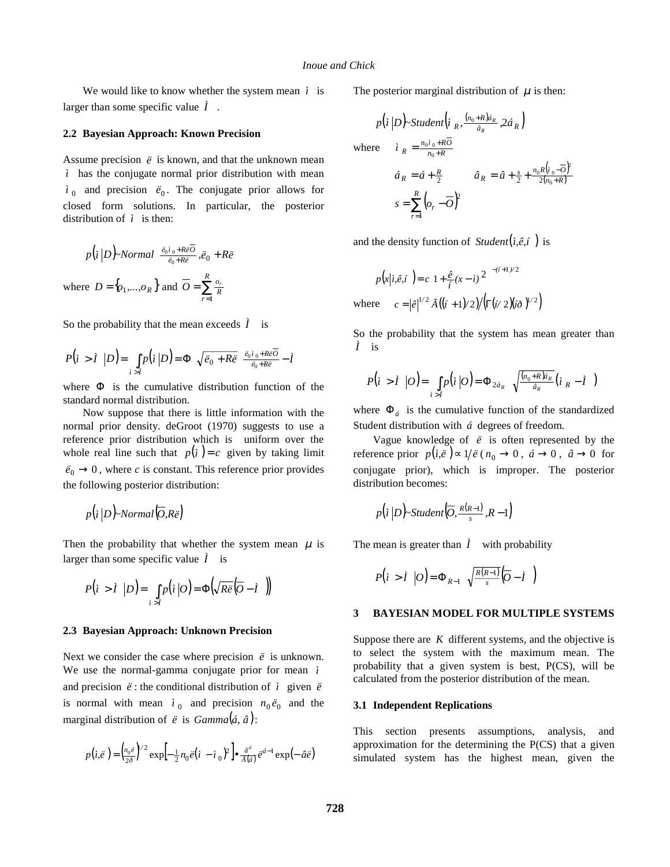We would like to know whether the system mean  $\hat{i}$  is larger than some specific value *Ì* .

# **2.2 Bayesian Approach: Known Precision**

Assume precision  $\ddot{e}$  is known, and that the unknown mean *ì* has the conjugate normal prior distribution with mean  $i<sub>0</sub>$  and precision  $\ddot{e}<sub>0</sub>$ . The conjugate prior allows for closed form solutions. In particular, the posterior distribution of  $\lambda$  is then:

$$
p(i|D) \text{-}Normal\left(\frac{\ddot{e}_0 i_0 + R \ddot{e}_0}{\ddot{e}_0 + R \ddot{e}_0}, \ddot{e}_0 + R \ddot{e}\right)
$$
\n
$$
\text{where } D = \{o_1, \dots, o_R\} \text{ and } \overline{O} = \sum_{r=1}^R \frac{o_r}{R}
$$

So the probability that the mean exceeds  $\hat{I}$  is

$$
P(i > i | D) = \int_{i > i} p(i | D) = \Phi\left(\sqrt{\ddot{e}_0 + R\ddot{e}} \left(\frac{\ddot{e}_0 i_0 + R\ddot{e}\overline{O}}{\ddot{e}_0 + R\ddot{e}} - \dot{I}\right)\right)
$$

where  $\Phi$  is the cumulative distribution function of the standard normal distribution.

Now suppose that there is little information with the normal prior density. deGroot (1970) suggests to use a reference prior distribution which is uniform over the whole real line such that  $p(i) = c$  given by taking limit  $\ddot{e}_0 \rightarrow 0$ , where *c* is constant. This reference prior provides the following posterior distribution:

$$
p(i|D)
$$
-Normal $(\overline{O},R\overline{e})$ 

Then the probability that whether the system mean  $\mu$  is larger than some specific value  $\tilde{I}$  is

$$
P(i > i \mid D) = \int_{i > i} p(i \mid O) = \Phi\left(\sqrt{R\ddot{e}} \left(\overline{O} - i\right)\right)
$$

### **2.3 Bayesian Approach: Unknown Precision**

Next we consider the case where precision  $\ddot{e}$  is unknown. We use the normal-gamma conjugate prior for mean *ì* and precision  $\ddot{e}$  : the conditional distribution of  $\dot{t}$  given  $\ddot{e}$ is normal with mean  $\hat{i}_0$  and precision  $n_0 \ddot{e}_0$  and the marginal distribution of  $\ddot{e}$  is *Gamma* $(\acute{a}, \hat{a})$ :

$$
p(i,\ddot{e}) = \left(\frac{n_0\ddot{e}}{2\delta}\right)^{1/2} \exp\left[-\frac{1}{2}n_0\ddot{e}(i - \dot{t}_0)^2\right] \bullet \frac{\hat{a}^{\dot{a}}}{\tilde{A}(\dot{a})}\ddot{e}^{\dot{a}-1} \exp\left(-\hat{a}\ddot{e}\right)
$$

The posterior marginal distribution of  $\mu$  is then:

$$
p(i|D) \text{-Student}\left(i \frac{(n_0 + R)a_R}{a_R}, 2a_R\right)
$$
\n
$$
\text{where} \quad i \frac{(n_0 + R)a_R}{n_0 + R}
$$
\n
$$
\hat{i} \frac{a_R}{a_R} = \hat{a} + \frac{R}{2} \qquad \hat{a}_R = \hat{a} + \frac{s}{2} + \frac{n_0 R(i_0 - \overline{O})}{2(n_0 + R)}
$$
\n
$$
s = \sum_{r=1}^R \left( o_r - \overline{O} \right)^2
$$

2

and the density function of  $Student(i, \hat{e}, i)$  is

$$
p(x|i, \hat{e}, i\epsilon) = c \left[ 1 + \frac{\hat{e}}{i} (x - i)^2 \right]^{-(i+1)/2}
$$
  
where 
$$
c = |\hat{e}|^{1/2} \tilde{A} \left( (i+1)/2 \right) / \left( \Gamma(i/2) (i \delta)^{1/2} \right)
$$

So the probability that the system has mean greater than *Ì* is

$$
P(i > \tilde{I} \mid O) = \int_{i > \tilde{I}} p(i \mid O) = \Phi_{2\acute{a}_R} \left( \sqrt{\frac{(n_0 + R)\acute{a}_R}{\hat{a}_R}} (i_R - \tilde{I} \mid 0) \right)
$$

where  $\Phi_{\dot{a}}$  is the cumulative function of the standardized Student distribution with *á* degrees of freedom.

Vague knowledge of  $\ddot{e}$  is often represented by the reference prior  $p(i, \ddot{e}) \propto 1/\ddot{e} (n_0 \rightarrow 0, \ \dot{a} \rightarrow 0, \ \dot{a} \rightarrow 0$  for conjugate prior), which is improper. The posterior distribution becomes:

$$
p(i|D)
$$
-Student $(\overline{O}, \frac{R(R-1)}{s}, R-1)$ 

The mean is greater than  $\hat{I}$  with probability

$$
P(i > i \mid O) = \Phi_{R-1}\left(\sqrt{\frac{R(R-1)}{s}}\left(\overline{O} - i\right)\right)
$$

#### **3 BAYESIAN MODEL FOR MULTIPLE SYSTEMS**

Suppose there are  $K$  different systems, and the objective is to select the system with the maximum mean. The probability that a given system is best, P(CS), will be calculated from the posterior distribution of the mean.

#### **3.1 Independent Replications**

This section presents assumptions, analysis, and approximation for the determining the P(CS) that a given simulated system has the highest mean, given the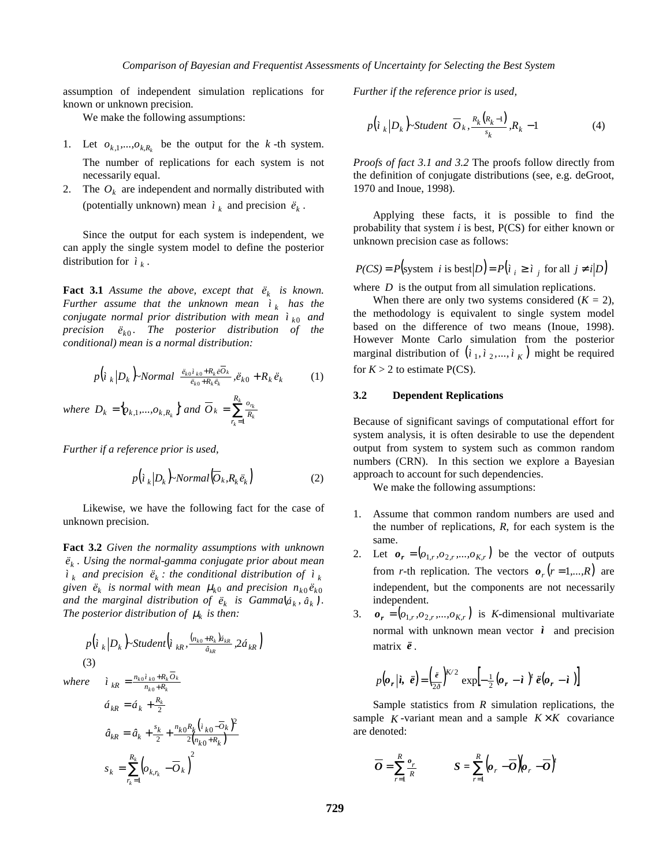assumption of independent simulation replications for known or unknown precision.

We make the following assumptions:

- 1. Let  $o_{k,1},...,o_{k,R_k}$  be the output for the *k*-th system. The number of replications for each system is not necessarily equal.
- 2. The  $O_k$  are independent and normally distributed with (potentially unknown) mean  $\hat{i}_k$  and precision  $\ddot{e}_k$ .

Since the output for each system is independent, we can apply the single system model to define the posterior distribution for  $\hat{i}_k$ .

**Fact 3.1** *Assume the above, except that*  $\ddot{e}_k$  *is known. Further assume that the unknown mean*  $\hat{i}_k$  *has the conjugate normal prior distribution with mean*  $\hat{i}_{k0}$  *and precision*  $\ddot{e}_{k0}$ . The posterior distribution of the *conditional) mean is a normal distribution:*

$$
p\left(i_{k}|D_{k}\right)-Normal\left(\frac{\ddot{e}_{k0}i_{k0}+R_{k}\ddot{e}\overline{O}_{k}}{\ddot{e}_{k0}+R_{k}\ddot{e}_{k}},\ddot{e}_{k0}+R_{k}\ddot{e}_{k}\right) \qquad (1)
$$
\nwhere  $D_{k} = \{o_{k,1},...,o_{k,R_{k}}\}$  and  $\overline{O}_{k} = \sum_{r_{k}=1}^{R_{k}} \frac{o_{r_{k}}}{R_{k}}$ 

*Further if a reference prior is used,*

$$
p(i_k|D_k)\text{-Normal}(\overline{O}_k, R_k \ddot{e}_k)
$$
\n<sup>(2)</sup>

Likewise, we have the following fact for the case of unknown precision.

**Fact 3.2** *Given the normality assumptions with unknown <sup>k</sup> ë . Using the normal-gamma conjugate prior about mean*  $\hat{i}_k$  *and precision*  $\ddot{e}_k$  *: the conditional distribution of*  $\dot{i}_k$ *given*  $\ddot{e}_k$  *is normal with mean*  $\mu_{k0}$  *and precision*  $n_{k0} \ddot{e}_{k0}$ *and the marginal distribution of*  $\ddot{e}_k$  *<i>is Gamma* $\left(\dot{a}_k, \hat{a}_k\right)$ *. The posterior distribution of*  $\mu_k$  *is then:* 

$$
p\left(i_{k}|D_{k}\right)-Student\left(i_{kR}, \frac{(n_{k0}+R_{k})\hat{a}_{kR}}{\hat{a}_{kR}}, 2\hat{a}_{kR}\right)
$$
\n(3)\n
$$
where \quad i_{kR} = \frac{n_{k0}i_{k0}+R_{k}\overline{O}_{k}}{n_{k0}+R_{k}}
$$
\n
$$
\hat{a}_{kR} = \hat{a}_{k} + \frac{R_{k}}{2}
$$
\n
$$
\hat{a}_{kR} = \hat{a}_{k} + \frac{s_{k}}{2} + \frac{n_{k0}R_{k}\left(i_{k0}-\overline{O}_{k}\right)^{2}}{2\left(n_{k0}+R_{k}\right)}
$$
\n
$$
s_{k} = \sum_{r_{k}=1}^{R_{k}} \left(o_{k,r_{k}} - \overline{O}_{k}\right)^{2}
$$

*Further if the reference prior is used,*

$$
p\left(i_{k} | D_{k}\right) \text{-}Student\left(\overline{O}_{k}, \frac{R_{k}\left(R_{k}-1\right)}{s_{k}}, R_{k}-1\right) \tag{4}
$$

*Proofs of fact 3.1 and 3.2* The proofs follow directly from the definition of conjugate distributions (see, e.g. deGroot, 1970 and Inoue, 1998).

Applying these facts, it is possible to find the probability that system *i* is best, P(CS) for either known or unknown precision case as follows:

$$
P(CS) = P\big(\text{system } i \text{ is best} | D \big) = P\big(i_i \ge i_j \text{ for all } j \ne i | D \big)
$$

where *D* is the output from all simulation replications.

When there are only two systems considered  $(K = 2)$ , the methodology is equivalent to single system model based on the difference of two means (Inoue, 1998). However Monte Carlo simulation from the posterior marginal distribution of  $(i_1, i_2, ..., i_K)$  might be required for  $K > 2$  to estimate P(CS).

### **3.2 Dependent Replications**

Because of significant savings of computational effort for system analysis, it is often desirable to use the dependent output from system to system such as common random numbers (CRN). In this section we explore a Bayesian approach to account for such dependencies.

We make the following assumptions:

- 1. Assume that common random numbers are used and the number of replications, *R*, for each system is the same.
- 2. Let  $\mathbf{o}_r = (o_{1,r}, o_{2,r},...,o_{K,r})$  be the vector of outputs from *r*-th replication. The vectors  $o_r$  ( $r = 1,...,R$ ) are independent, but the components are not necessarily independent.
- 3.  $\mathbf{o}_r = (o_{1r}, o_{2r}, ..., o_{Kr})$  is *K*-dimensional multivariate normal with unknown mean vector  $\hat{i}$  and precision matrix *ë* .

$$
p(\boldsymbol{o}_r | \boldsymbol{i}, \ \boldsymbol{\ddot{e}}) = \left(\frac{\boldsymbol{\ddot{e}}}{2\delta}\right)^{K/2} \exp\left[-\frac{1}{2}(\boldsymbol{o}_r - \boldsymbol{\dot{e}})^t \ \boldsymbol{\ddot{e}}(\boldsymbol{o}_r - \boldsymbol{\dot{e}})\right]
$$

Sample statistics from *R* simulation replications, the sample  $K$ -variant mean and a sample  $K \times K$  covariance are denoted:

$$
\overline{O} = \sum_{r=1}^{R} \frac{o_r}{R} \qquad S = \sum_{r=1}^{R} \left( o_r - \overline{O} \right) \left( o_r - \overline{O} \right)^r
$$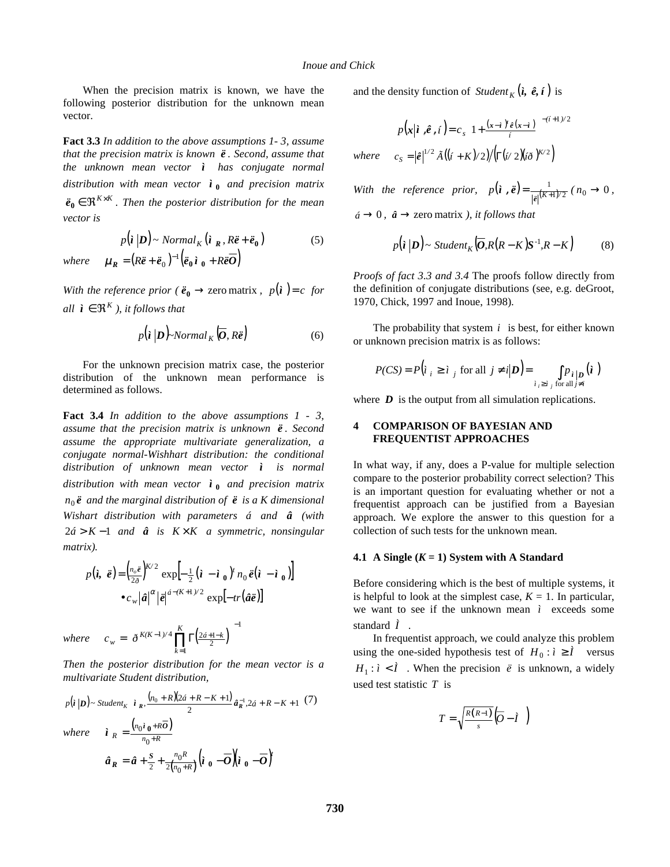When the precision matrix is known, we have the following posterior distribution for the unknown mean vector.

**Fact 3.3** *In addition to the above assumptions 1- 3, assume that the precision matrix is known ë . Second, assume that the unknown mean vector ì has conjugate normal distribution with mean vector* **<sup>0</sup>** *ì and precision matrix*  $\ddot{\mathbf{e}}_0 \in \mathbb{R}^{K \times K}$ . Then the posterior distribution for the mean *vector is*

$$
p(\mathbf{i} \left| \mathbf{D} \right) \sim Normal_K(\mathbf{i}_R, R\ddot{\mathbf{e}} + \ddot{\mathbf{e}}_0)
$$
 (5)

 $where$   $\boldsymbol{\mu}_R = (R\ddot{\boldsymbol{e}} + \ddot{\boldsymbol{e}}_0)^{-1} (\ddot{\boldsymbol{e}}_0 \dot{\boldsymbol{i}}_0 + R\ddot{\boldsymbol{e}}\overline{\boldsymbol{O}})$ 

*With the reference prior* ( $\ddot{\mathbf{e}}_0 \rightarrow$  zero matrix,  $p(\mathbf{i}) = c$  for *all*  $\hat{\imath} \in \Re^K$ , *it follows that* 

$$
p(\mathbf{i} \, | \mathbf{D})\text{-}Normal_K(\overline{\mathbf{O}}, R\overline{\mathbf{e}}) \tag{6}
$$

For the unknown precision matrix case, the posterior distribution of the unknown mean performance is determined as follows.

**Fact 3.4** *In addition to the above assumptions 1 - 3, assume that the precision matrix is unknown ë . Second assume the appropriate multivariate generalization, a conjugate normal-Wishhart distribution: the conditional distribution of unknown mean vector ì is normal distribution with mean vector* **<sup>0</sup>** *ì and precision matrix*  $n_0 \ddot{\textbf{\textit{e}}}$  *and the marginal distribution of*  $\ddot{\textbf{\textit{e}}}$  *is a K dimensional Wishart distribution with parameters á and â (with* 2*á* > *K* −1 *and â is K* × *K a symmetric, nonsingular matrix).*

$$
p(\hat{\imath}, \; \hat{\mathbf{e}}) = \left(\frac{n_e \tilde{\mathbf{e}}}{2\tilde{\sigma}}\right)^{K/2} \exp\left[-\frac{1}{2}(\hat{\imath} - \hat{\imath}_0)^t n_0 \tilde{\mathbf{e}}(\hat{\imath} - \hat{\imath}_0)\right]
$$

$$
\bullet c_w |\hat{a}|^{\alpha} |\tilde{\mathbf{e}}|^{a - (K+1)/2} \exp[-tr(\hat{a}\tilde{\mathbf{e}})]
$$

where 
$$
c_w = \left[ \delta^{K(K-1)/4} \prod_{k=1}^K \Gamma\left(\frac{2a+1-k}{2}\right) \right]^{-1}
$$

*Then the posterior distribution for the mean vector is a multivariate Student distribution,*

$$
p(i|D) \sim Student_K\left(i_R, \frac{(n_0+R)(2\acute{a}+R-K+1)}{2}\hat{a}_R^{-1}, 2\acute{a}+R-K+1\right)\left(\frac{7}{2}\right)
$$

*where*  $\boldsymbol{i}$   $_R = \frac{(n_0 \boldsymbol{i} \, \boldsymbol{0} + R \overline{O})}{n_0 + R}$  $R = \frac{m_0 + m_1}{n_0 + m_2}$  $\hat{i}$ <sub>R</sub> =  $\frac{(n_0 \hat{i}_0 + RO)}{n_0 + R}$ 

$$
\hat{a}_R = \hat{a} + \frac{s}{2} + \frac{n_0 R}{2(n_0 + R)} \left( \hat{i}_0 - \overline{O} \right) \left( \hat{i}_0 - \overline{O} \right)^t
$$

and the density function of  $Student_K(\hat{i}, \hat{e}, i)$  is

$$
p(\mathbf{x}|\mathbf{i}, \hat{\boldsymbol{e}}, i) = c_s \left[ 1 + \frac{(\mathbf{x} - \mathbf{i})^t \hat{\boldsymbol{e}}(\mathbf{x} - \mathbf{i})}{i} \right]^{-(i+1)/2}
$$
  
where 
$$
c_s = |\hat{\boldsymbol{e}}|^{1/2} \tilde{A}((i + K)/2) / \left( \Gamma(i/2) (i\delta)^{K/2} \right)
$$

*With the reference prior,*  $p(\mathbf{i}, \mathbf{\vec{e}}) = \frac{1}{|\mathbf{\vec{e}}|^{(K+1)/2}}$  ( $n_0 \to 0$ ,  $\hat{a} \rightarrow 0$ ,  $\hat{a} \rightarrow$  zero matrix *), it follows that* 

$$
p(\mathbf{i} \vert \mathbf{D}) \sim Student_K(\overline{\mathbf{O}}, R(R-K)\mathbf{S}^{-1}, R-K)
$$
 (8)

*Proofs of fact 3.3 and 3.4* The proofs follow directly from the definition of conjugate distributions (see, e.g. deGroot, 1970, Chick, 1997 and Inoue, 1998).

The probability that system *i* is best, for either known or unknown precision matrix is as follows:

$$
P(CS) = P(i_i \ge i_j \text{ for all } j \ne i | D) = \int_{i_i \ge i_j \text{ for all } j \ne i} p_{i|D} (i)
$$

where  $\boldsymbol{D}$  is the output from all simulation replications.

# **4 COMPARISON OF BAYESIAN AND FREQUENTIST APPROACHES**

In what way, if any, does a P-value for multiple selection compare to the posterior probability correct selection? This is an important question for evaluating whether or not a frequentist approach can be justified from a Bayesian approach. We explore the answer to this question for a collection of such tests for the unknown mean.

#### **4.1** A Single  $(K = 1)$  System with A Standard

Before considering which is the best of multiple systems, it is helpful to look at the simplest case,  $K = 1$ . In particular, we want to see if the unknown mean  $i$  exceeds some standard *Ì* .

In frequentist approach, we could analyze this problem using the one-sided hypothesis test of  $H_0: i \geq \hat{I}$  versus  $H_1: i < i$ . When the precision  $\ddot{e}$  is unknown, a widely used test statistic *T* is

$$
T = \sqrt{\frac{R(R-1)}{s}} \left( \overline{O} - \overline{I} \right)
$$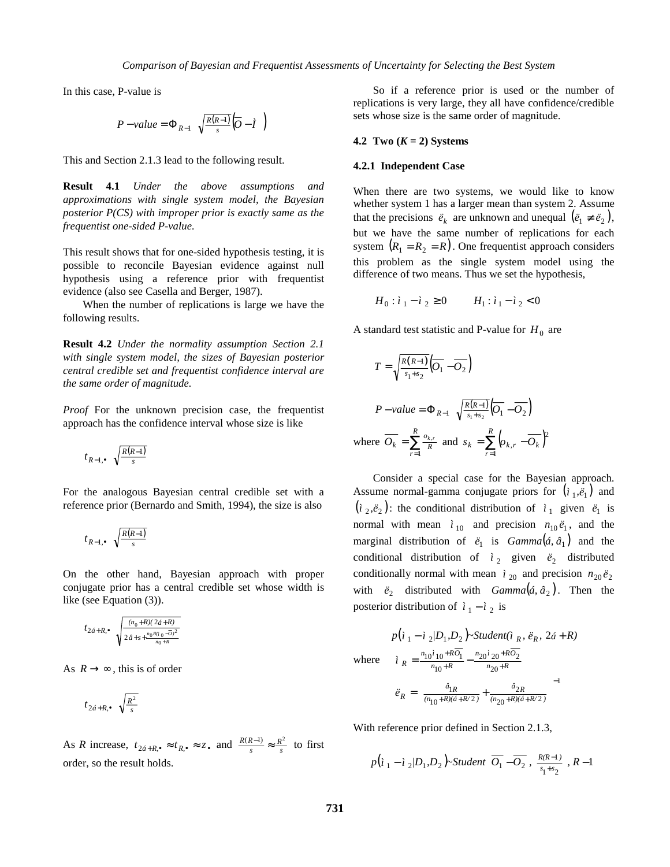In this case, P-value is

$$
P-value = \Phi_{R-1}\left(\sqrt{\frac{R(R-1)}{s}}\left(\overline{O}-\tilde{I}\right)\right)
$$

This and Section 2.1.3 lead to the following result.

**Result 4.1** *Under the above assumptions and approximations with single system model, the Bayesian posterior P(CS) with improper prior is exactly same as the frequentist one-sided P-value.*

This result shows that for one-sided hypothesis testing, it is possible to reconcile Bayesian evidence against null hypothesis using a reference prior with frequentist evidence (also see Casella and Berger, 1987).

When the number of replications is large we have the following results.

**Result 4.2** *Under the normality assumption Section 2.1 with single system model, the sizes of Bayesian posterior central credible set and frequentist confidence interval are the same order of magnitude.*

*Proof* For the unknown precision case, the frequentist approach has the confidence interval whose size is like

$$
t_{R-1,\bullet}\left(\sqrt{\frac{R(R-1)}{s}}\,\right)
$$

For the analogous Bayesian central credible set with a reference prior (Bernardo and Smith, 1994), the size is also

$$
t_{R-1,\bullet}\left(\sqrt{\frac{R(R-1)}{s}}\,\right)
$$

On the other hand, Bayesian approach with proper conjugate prior has a central credible set whose width is like (see Equation (3)).

$$
t_{2\acute{a}+R,\bullet} \left( \sqrt{\frac{(n_0+R)(2\acute{a}+R)}{2\,\hat{a}+s+\frac{n_0R(i_0-\overline{0})^2}{n_0+R}}}\right)
$$

As  $R \rightarrow \infty$ , this is of order

$$
t_{2\acute{a}+R,\bullet}\left(\sqrt{\frac{R^2}{s}}\,\right)
$$

As *R* increase,  $t_{2d+R,\bullet} \approx t_{R,\bullet} \approx z_{\bullet}$  and  $\frac{R(R-1)}{s} \approx \frac{R^2}{s}$  to first order, so the result holds.

So if a reference prior is used or the number of replications is very large, they all have confidence/credible sets whose size is the same order of magnitude.

### **4.2** Two  $(K = 2)$  Systems

#### **4.2.1 Independent Case**

When there are two systems, we would like to know whether system 1 has a larger mean than system 2. Assume that the precisions  $\ddot{e}_k$  are unknown and unequal  $(\ddot{e}_1 \neq \ddot{e}_2)$ , but we have the same number of replications for each system  $(R_1 = R_2 = R)$ . One frequentist approach considers this problem as the single system model using the difference of two means. Thus we set the hypothesis,

$$
H_0: i_1 - i_2 \ge 0 \qquad H_1: i_1 - i_2 < 0
$$

A standard test statistic and P-value for  $H_0$  are

$$
T = \sqrt{\frac{R(R-1)}{s_1 + s_2}} \overline{O_1} - \overline{O_2}
$$
  
\n
$$
P - value = \Phi_{R-1} \left( \sqrt{\frac{R(R-1)}{s_1 + s_2}} \overline{O_1} - \overline{O_2} \right)
$$
  
\nwhere  $\overline{O_k} = \sum_{r=1}^{R} \frac{o_{k,r}}{R}$  and  $s_k = \sum_{r=1}^{R} \left( o_{k,r} - \overline{O_k} \right)^2$ 

Consider a special case for the Bayesian approach. Assume normal-gamma conjugate priors for  $(i_1, \dot{e}_1)$  and  $(i_2, \tilde{e}_2)$ : the conditional distribution of  $i_1$  given  $\tilde{e}_1$  is normal with mean  $\hat{i}_{10}$  and precision  $n_{10} \ddot{e}_1$ , and the marginal distribution of  $\ddot{e}_1$  is  $Gamma(\dot{a}, \hat{a}_1)$  and the conditional distribution of  $i_2$  given  $\ddot{e}_2$  distributed conditionally normal with mean  $\hat{i}_{20}$  and precision  $n_{20} \ddot{e}_2$ with  $\ddot{e}_2$  distributed with  $Gamma(\hat{a}, \hat{a}_2)$ . Then the posterior distribution of  $i_1 - i_2$  is

$$
p(i_1 - i_2/D_1, D_2) \sim Student(i_R, \vec{e}_R, 2\acute{a} + R)
$$
  
where  $i_R = \frac{n_{10}i_{10} + R\overline{o_1}}{n_{10} + R} - \frac{n_{20}i_{20} + R\overline{o_2}}{n_{20} + R}$   

$$
\ddot{e}_R = \left(\frac{\hat{a}_{1R}}{(n_{10} + R)(\acute{a} + R/2)} + \frac{\hat{a}_{2R}}{(n_{20} + R)(\acute{a} + R/2)}\right)^{-1}
$$

With reference prior defined in Section 2.1.3,

$$
p\left(\iota_{1}-\iota_{2}/D_{1},D_{2}\right)\!-\!Student\left(\overline{O_{1}}-\overline{O_{2}}\;,\;\frac{R(R-1)}{s_{1}+s_{2}}\;,\;R-1\right)
$$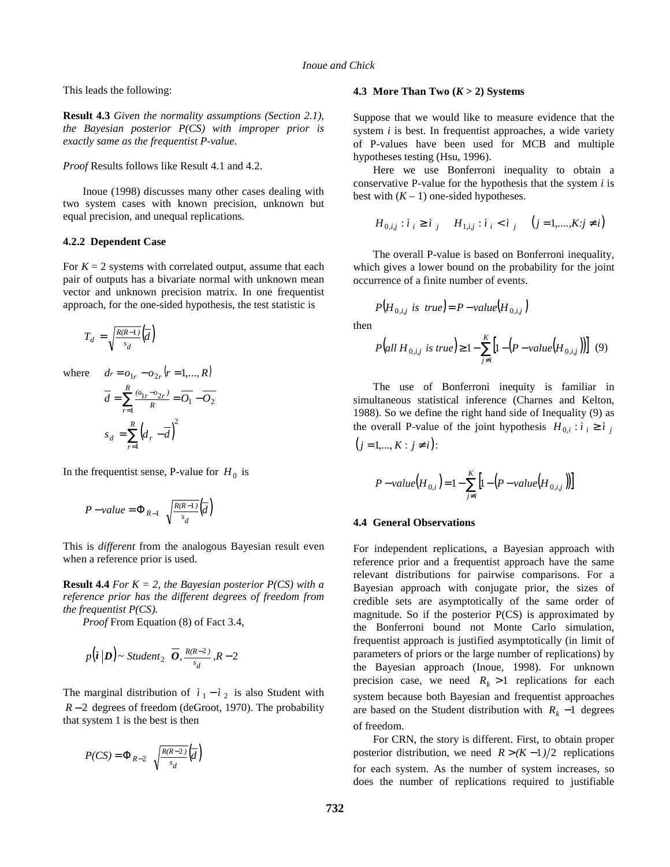This leads the following:

**Result 4.3** *Given the normality assumptions (Section 2.1), the Bayesian posterior P(CS) with improper prior is exactly same as the frequentist P-value.*

*Proof* Results follows like Result 4.1 and 4.2.

Inoue (1998) discusses many other cases dealing with two system cases with known precision, unknown but equal precision, and unequal replications.

### **4.2.2 Dependent Case**

For  $K = 2$  systems with correlated output, assume that each pair of outputs has a bivariate normal with unknown mean vector and unknown precision matrix. In one frequentist approach, for the one-sided hypothesis, the test statistic is

$$
T_d = \sqrt{\frac{R(R-1)}{s_d}} \overline{d}
$$

where  $dr = o_{1r} - o_{2r} (r = 1, ..., R)$ 

$$
\overline{d} = \sum_{r=1}^{R} \frac{\overline{a}_{1r} - \overline{a}_{2r}}{R} = \overline{O_1} - \overline{O_2}
$$

$$
s_d = \sum_{r=1}^{R} \left( d_r - \overline{d} \right)^2
$$

In the frequentist sense, P-value for  $H_0$  is

$$
P-value = \Phi_{R-1}\left(\sqrt{\frac{R(R-1)}{s_d}}\left(\overline{d}\right)\right)
$$

This is *different* from the analogous Bayesian result even when a reference prior is used.

**Result 4.4** *For K = 2, the Bayesian posterior P(CS) with a reference prior has the different degrees of freedom from the frequentist P(CS).*

*Proof* From Equation (8) of Fact 3.4,

$$
p(\iota | \boldsymbol{D}) \sim Student_2\left(\overline{\boldsymbol{O}}, \frac{R(R-2)}{s_d}, R-2\right)
$$

The marginal distribution of  $i_1 - i_2$  is also Student with *R* − 2 degrees of freedom (deGroot, 1970). The probability that system 1 is the best is then

$$
P(CS) = \Phi_{R-2}\left(\sqrt{\frac{R(R-2)}{s_d}}\left(\overline{d}\right)\right)
$$

### **4.3 More Than Two (***K* **> 2) Systems**

Suppose that we would like to measure evidence that the system *i* is best. In frequentist approaches, a wide variety of P-values have been used for MCB and multiple hypotheses testing (Hsu, 1996).

Here we use Bonferroni inequality to obtain a conservative P-value for the hypothesis that the system *i* is best with  $(K - 1)$  one-sided hypotheses.

$$
H_{0,i,j} : i_i \ge i_j \quad H_{1,i,j} : i_i < i_j \quad (j = 1, \dots, K; j \ne i)
$$

The overall P-value is based on Bonferroni inequality, which gives a lower bound on the probability for the joint occurrence of a finite number of events.

$$
P(H_{0,i,j} \text{ is true}) = P-value(H_{0,i,j})
$$

then

$$
P\big(all\ H_{0,i,j}\ is\ true\big)\ge 1-\sum_{j\neq i}^{K} \big[1-\big(P-value\big(H_{0,i,j}\big)\big)\big]\ (9)
$$

The use of Bonferroni inequity is familiar in simultaneous statistical inference (Charnes and Kelton, 1988). So we define the right hand side of Inequality (9) as the overall P-value of the joint hypothesis  $H_{0,i}: i \geq i$ ,

$$
(j=1,\ldots,K:j\neq i):
$$

$$
P-value(H_{0,i}) = 1 - \sum_{j \neq i}^{K} \left[ 1 - \left( P - value\left( H_{0,i,j} \right) \right) \right]
$$

#### **4.4 General Observations**

For independent replications, a Bayesian approach with reference prior and a frequentist approach have the same relevant distributions for pairwise comparisons. For a Bayesian approach with conjugate prior, the sizes of credible sets are asymptotically of the same order of magnitude. So if the posterior P(CS) is approximated by the Bonferroni bound not Monte Carlo simulation, frequentist approach is justified asymptotically (in limit of parameters of priors or the large number of replications) by the Bayesian approach (Inoue, 1998). For unknown precision case, we need  $R_k > 1$  replications for each system because both Bayesian and frequentist approaches are based on the Student distribution with  $R_k - 1$  degrees of freedom.

For CRN, the story is different. First, to obtain proper posterior distribution, we need  $R > (K-1)/2$  replications for each system. As the number of system increases, so does the number of replications required to justifiable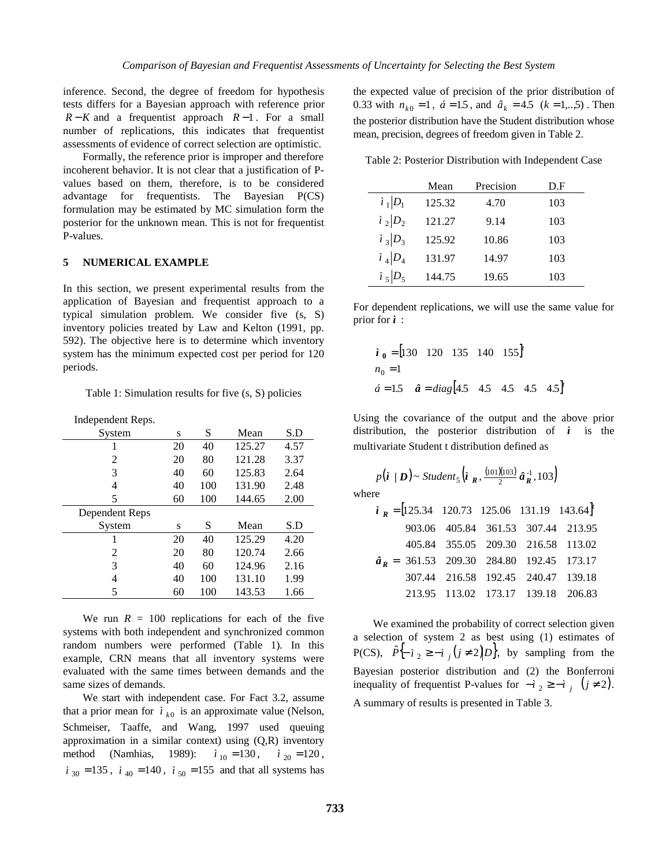inference. Second, the degree of freedom for hypothesis tests differs for a Bayesian approach with reference prior *R* − *K* and a frequentist approach *R* −1 . For a small number of replications, this indicates that frequentist assessments of evidence of correct selection are optimistic.

Formally, the reference prior is improper and therefore incoherent behavior. It is not clear that a justification of Pvalues based on them, therefore, is to be considered advantage for frequentists. The Bayesian P(CS) formulation may be estimated by MC simulation form the posterior for the unknown mean. This is not for frequentist P-values.

## **5 NUMERICAL EXAMPLE**

In this section, we present experimental results from the application of Bayesian and frequentist approach to a typical simulation problem. We consider five (s, S) inventory policies treated by Law and Kelton (1991, pp. 592). The objective here is to determine which inventory system has the minimum expected cost per period for 120 periods.

Table 1: Simulation results for five (s, S) policies

| Independent Reps. |  |
|-------------------|--|
|-------------------|--|

| System         | S  | S   | Mean   | S.D  |
|----------------|----|-----|--------|------|
|                | 20 | 40  | 125.27 | 4.57 |
| 2              | 20 | 80  | 121.28 | 3.37 |
| 3              | 40 | 60  | 125.83 | 2.64 |
| 4              | 40 | 100 | 131.90 | 2.48 |
| 5              | 60 | 100 | 144.65 | 2.00 |
| Dependent Reps |    |     |        |      |
| System         | S  | S   | Mean   | S.D  |
|                | 20 | 40  | 125.29 | 4.20 |
| 2              | 20 | 80  | 120.74 | 2.66 |
| 3              | 40 | 60  | 124.96 | 2.16 |
| 4              | 40 | 100 | 131.10 | 1.99 |
| 5              | 60 | 100 | 143.53 | 1.66 |

We run  $R = 100$  replications for each of the five systems with both independent and synchronized common random numbers were performed (Table 1). In this example, CRN means that all inventory systems were evaluated with the same times between demands and the same sizes of demands.

We start with independent case. For Fact 3.2, assume that a prior mean for  $\hat{i}_{k0}$  is an approximate value (Nelson, Schmeiser, Taaffe, and Wang, 1997 used queuing approximation in a similar context) using (Q,R) inventory method (Namhias, 1989):  $\hat{i}_{10} = 130$ ,  $\hat{i}_{20} = 120$ ,  $\hat{i}_{30} = 135$ ,  $\hat{i}_{40} = 140$ ,  $\hat{i}_{50} = 155$  and that all systems has the expected value of precision of the prior distribution of 0.33 with  $n_{k0} = 1$ ,  $\acute{a} = 1.5$ , and  $\hat{a}_k = 4.5$  ( $k = 1,...,5$ ). Then the posterior distribution have the Student distribution whose mean, precision, degrees of freedom given in Table 2.

Table 2: Posterior Distribution with Independent Case

|           | Mean   | Precision | D.F |
|-----------|--------|-----------|-----|
| $i_1 D_1$ | 125.32 | 4.70      | 103 |
| $i_2 D_2$ | 121.27 | 9.14      | 103 |
| $i_3 D_3$ | 125.92 | 10.86     | 103 |
| $i_4 D_4$ | 131.97 | 14.97     | 103 |
| $i_5 D_5$ | 144.75 | 19.65     | 103 |

For dependent replications, we will use the same value for prior for *ì* :

$$
\hat{i}_0 = [130 \quad 120 \quad 135 \quad 140 \quad 155]^t
$$
  
\n $n_0 = 1$   
\n $\hat{a} = 1.5 \quad \hat{a} = diag[4.5 \quad 4.5 \quad 4.5 \quad 4.5 \quad 4.5]^t$ 

Using the covariance of the output and the above prior distribution, the posterior distribution of  $\hat{i}$  is the multivariate Student t distribution defined as

$$
p(\mathbf{i} \mid \mathbf{D}) \sim Student_5(\mathbf{i}_R, \frac{(101)(103)}{2} \hat{\mathbf{a}}_R^{-1}, 103)
$$

where

|  |  | $\hat{i}_R = [125.34 \quad 120.73 \quad 125.06 \quad 131.19 \quad 143.64]^t$                                                                                                                                                                                                       |
|--|--|------------------------------------------------------------------------------------------------------------------------------------------------------------------------------------------------------------------------------------------------------------------------------------|
|  |  |                                                                                                                                                                                                                                                                                    |
|  |  |                                                                                                                                                                                                                                                                                    |
|  |  |                                                                                                                                                                                                                                                                                    |
|  |  |                                                                                                                                                                                                                                                                                    |
|  |  | <b>a</b> $\mathbf{a_R} = \begin{bmatrix} 903.06 & 405.84 & 361.53 & 307.44 & 213.95 \\ 405.84 & 355.05 & 209.30 & 216.58 & 113.02 \\ 361.53 & 209.30 & 284.80 & 192.45 & 173.17 \\ 307.44 & 216.58 & 192.45 & 240.47 & 139.18 \\ 213.95 & 113.02 & 173.17 & 139.18 & 206.83 \end{$ |

We examined the probability of correct selection given a selection of system 2 as best using (1) estimates of P(CS),  $\hat{P}^{\{-i\}}$   $\geq -i$  *j*( $j \neq 2$ ) $D^{\{-i\}}$ , by sampling from the Bayesian posterior distribution and (2) the Bonferroni inequality of frequentist P-values for  $-i$  <sub>2</sub> ≥ −*ì i* (*j* ≠ 2). A summary of results is presented in Table 3.